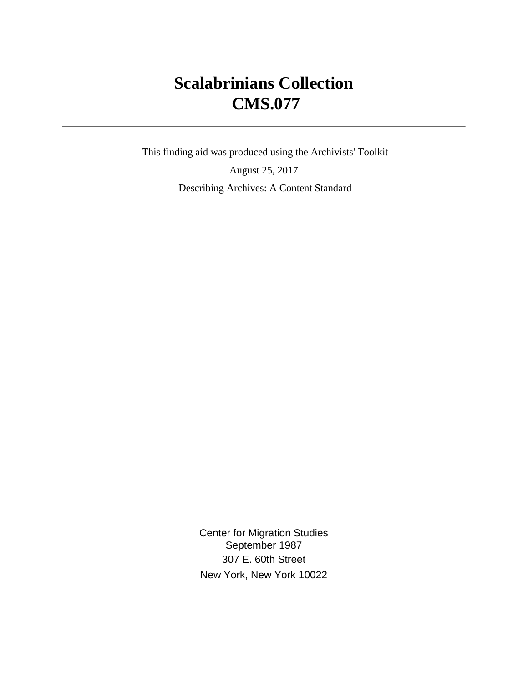# **Scalabrinians Collection CMS.077**

 This finding aid was produced using the Archivists' Toolkit August 25, 2017 Describing Archives: A Content Standard

> Center for Migration Studies September 1987 307 E. 60th Street New York, New York 10022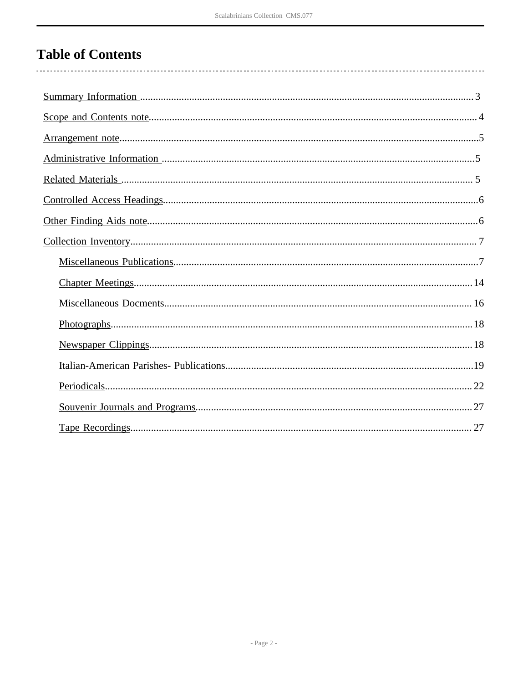# **Table of Contents**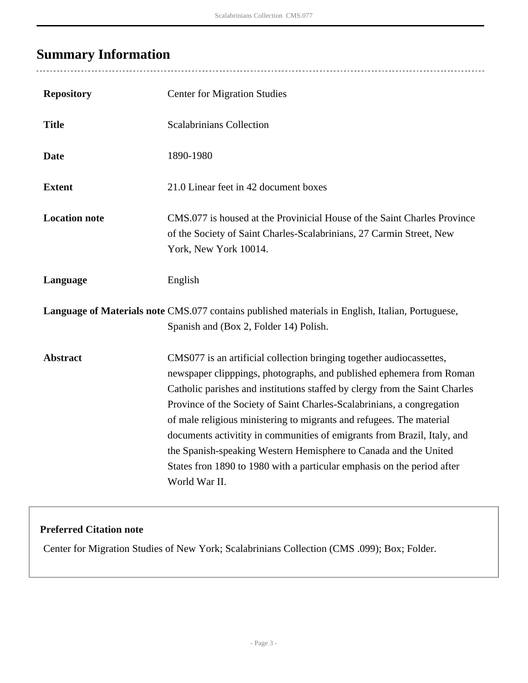## <span id="page-2-0"></span>**Summary Information**

| <b>Repository</b>    | <b>Center for Migration Studies</b>                                                                                                                                                                                                                                                                                                                                                                                                                                                                                                                                                                                       |
|----------------------|---------------------------------------------------------------------------------------------------------------------------------------------------------------------------------------------------------------------------------------------------------------------------------------------------------------------------------------------------------------------------------------------------------------------------------------------------------------------------------------------------------------------------------------------------------------------------------------------------------------------------|
| <b>Title</b>         | <b>Scalabrinians Collection</b>                                                                                                                                                                                                                                                                                                                                                                                                                                                                                                                                                                                           |
| <b>Date</b>          | 1890-1980                                                                                                                                                                                                                                                                                                                                                                                                                                                                                                                                                                                                                 |
| <b>Extent</b>        | 21.0 Linear feet in 42 document boxes                                                                                                                                                                                                                                                                                                                                                                                                                                                                                                                                                                                     |
| <b>Location note</b> | CMS.077 is housed at the Provinicial House of the Saint Charles Province<br>of the Society of Saint Charles-Scalabrinians, 27 Carmin Street, New<br>York, New York 10014.                                                                                                                                                                                                                                                                                                                                                                                                                                                 |
| Language             | English                                                                                                                                                                                                                                                                                                                                                                                                                                                                                                                                                                                                                   |
|                      | Language of Materials note CMS.077 contains published materials in English, Italian, Portuguese,<br>Spanish and (Box 2, Folder 14) Polish.                                                                                                                                                                                                                                                                                                                                                                                                                                                                                |
| <b>Abstract</b>      | CMS077 is an artificial collection bringing together audiocassettes,<br>newspaper clipppings, photographs, and published ephemera from Roman<br>Catholic parishes and institutions staffed by clergy from the Saint Charles<br>Province of the Society of Saint Charles-Scalabrinians, a congregation<br>of male religious ministering to migrants and refugees. The material<br>documents activitity in communities of emigrants from Brazil, Italy, and<br>the Spanish-speaking Western Hemisphere to Canada and the United<br>States fron 1890 to 1980 with a particular emphasis on the period after<br>World War II. |

### **Preferred Citation note**

Center for Migration Studies of New York; Scalabrinians Collection (CMS .099); Box; Folder.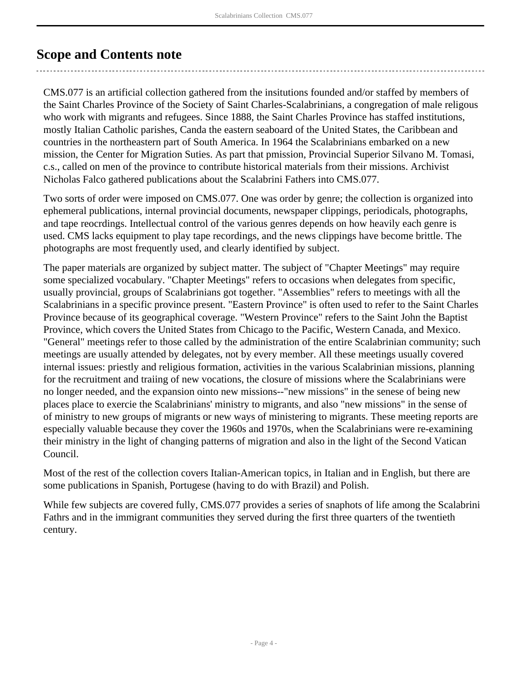## <span id="page-3-0"></span>**Scope and Contents note**

CMS.077 is an artificial collection gathered from the insitutions founded and/or staffed by members of the Saint Charles Province of the Society of Saint Charles-Scalabrinians, a congregation of male religous who work with migrants and refugees. Since 1888, the Saint Charles Province has staffed institutions, mostly Italian Catholic parishes, Canda the eastern seaboard of the United States, the Caribbean and countries in the northeastern part of South America. In 1964 the Scalabrinians embarked on a new mission, the Center for Migration Suties. As part that pmission, Provincial Superior Silvano M. Tomasi, c.s., called on men of the province to contribute historical materials from their missions. Archivist Nicholas Falco gathered publications about the Scalabrini Fathers into CMS.077.

Two sorts of order were imposed on CMS.077. One was order by genre; the collection is organized into ephemeral publications, internal provincial documents, newspaper clippings, periodicals, photographs, and tape reocrdings. Intellectual control of the various genres depends on how heavily each genre is used. CMS lacks equipment to play tape recordings, and the news clippings have become brittle. The photographs are most frequently used, and clearly identified by subject.

The paper materials are organized by subject matter. The subject of "Chapter Meetings" may require some specialized vocabulary. "Chapter Meetings" refers to occasions when delegates from specific, usually provincial, groups of Scalabrinians got together. "Assemblies" refers to meetings with all the Scalabrinians in a specific province present. "Eastern Province" is often used to refer to the Saint Charles Province because of its geographical coverage. "Western Province" refers to the Saint John the Baptist Province, which covers the United States from Chicago to the Pacific, Western Canada, and Mexico. "General" meetings refer to those called by the administration of the entire Scalabrinian community; such meetings are usually attended by delegates, not by every member. All these meetings usually covered internal issues: priestly and religious formation, activities in the various Scalabrinian missions, planning for the recruitment and traiing of new vocations, the closure of missions where the Scalabrinians were no longer needed, and the expansion ointo new missions--"new missions" in the senese of being new places place to exercie the Scalabrinians' ministry to migrants, and also "new missions" in the sense of of ministry to new groups of migrants or new ways of ministering to migrants. These meeting reports are especially valuable because they cover the 1960s and 1970s, when the Scalabrinians were re-examining their ministry in the light of changing patterns of migration and also in the light of the Second Vatican Council.

Most of the rest of the collection covers Italian-American topics, in Italian and in English, but there are some publications in Spanish, Portugese (having to do with Brazil) and Polish.

While few subjects are covered fully, CMS.077 provides a series of snaphots of life among the Scalabrini Fathrs and in the immigrant communities they served during the first three quarters of the twentieth century.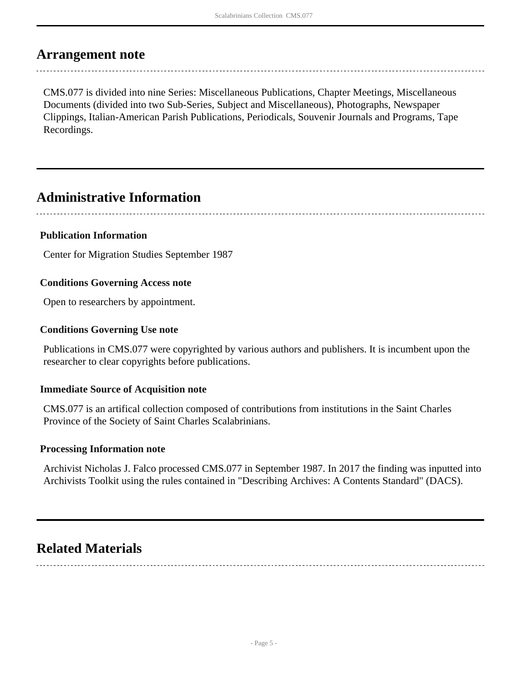### <span id="page-4-0"></span>**Arrangement note**

CMS.077 is divided into nine Series: Miscellaneous Publications, Chapter Meetings, Miscellaneous Documents (divided into two Sub-Series, Subject and Miscellaneous), Photographs, Newspaper Clippings, Italian-American Parish Publications, Periodicals, Souvenir Journals and Programs, Tape Recordings.

## <span id="page-4-1"></span>**Administrative Information**

### **Publication Information**

Center for Migration Studies September 1987

### **Conditions Governing Access note**

Open to researchers by appointment.

### **Conditions Governing Use note**

Publications in CMS.077 were copyrighted by various authors and publishers. It is incumbent upon the researcher to clear copyrights before publications.

### **Immediate Source of Acquisition note**

CMS.077 is an artifical collection composed of contributions from institutions in the Saint Charles Province of the Society of Saint Charles Scalabrinians.

#### **Processing Information note**

Archivist Nicholas J. Falco processed CMS.077 in September 1987. In 2017 the finding was inputted into Archivists Toolkit using the rules contained in "Describing Archives: A Contents Standard" (DACS).

## <span id="page-4-2"></span>**Related Materials**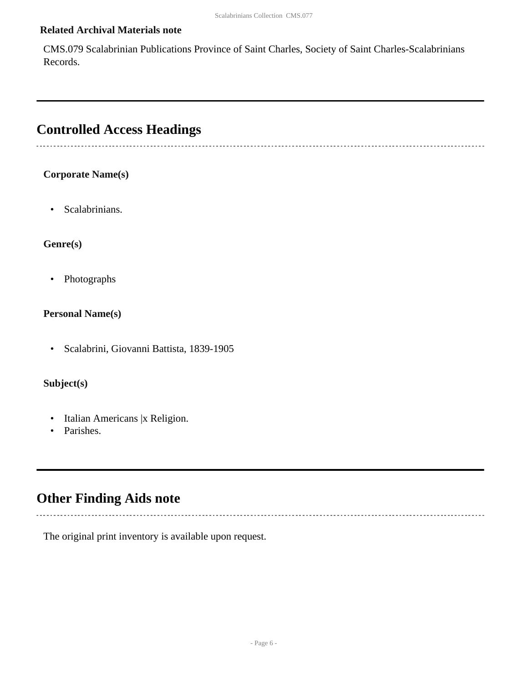### **Related Archival Materials note**

CMS.079 Scalabrinian Publications Province of Saint Charles, Society of Saint Charles-Scalabrinians Records.

## <span id="page-5-0"></span>**Controlled Access Headings**

### **Corporate Name(s)**

• Scalabrinians.

#### **Genre(s)**

• Photographs

### **Personal Name(s)**

• Scalabrini, Giovanni Battista, 1839-1905

### **Subject(s)**

- Italian Americans |x Religion.
- Parishes.

### <span id="page-5-1"></span>**Other Finding Aids note**

-----------------------------

The original print inventory is available upon request.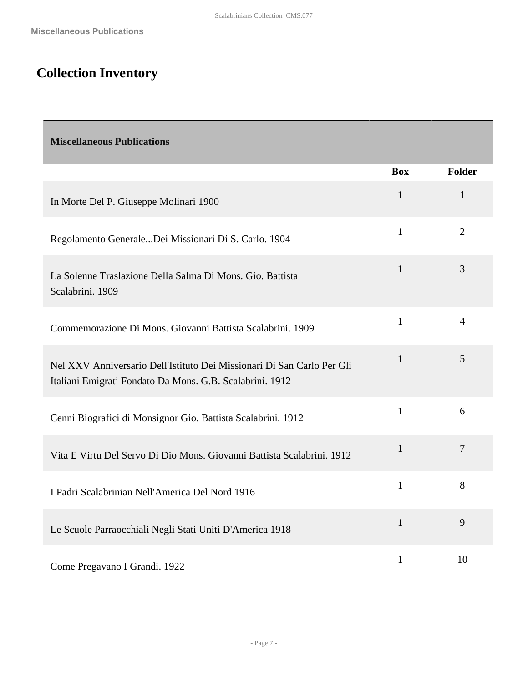# <span id="page-6-0"></span>**Collection Inventory**

<span id="page-6-1"></span>

| <b>Miscellaneous Publications</b>                                                                                                  |              |                |
|------------------------------------------------------------------------------------------------------------------------------------|--------------|----------------|
|                                                                                                                                    | <b>Box</b>   | <b>Folder</b>  |
| In Morte Del P. Giuseppe Molinari 1900                                                                                             | $\mathbf{1}$ | $\mathbf{1}$   |
| Regolamento GeneraleDei Missionari Di S. Carlo. 1904                                                                               | $\mathbf{1}$ | $\overline{2}$ |
| La Solenne Traslazione Della Salma Di Mons. Gio. Battista<br>Scalabrini. 1909                                                      | $\mathbf{1}$ | 3              |
| Commemorazione Di Mons. Giovanni Battista Scalabrini. 1909                                                                         | $\mathbf{1}$ | $\overline{4}$ |
| Nel XXV Anniversario Dell'Istituto Dei Missionari Di San Carlo Per Gli<br>Italiani Emigrati Fondato Da Mons. G.B. Scalabrini. 1912 | $\mathbf{1}$ | 5              |
| Cenni Biografici di Monsignor Gio. Battista Scalabrini. 1912                                                                       | $\mathbf{1}$ | 6              |
| Vita E Virtu Del Servo Di Dio Mons. Giovanni Battista Scalabrini. 1912                                                             | $\mathbf{1}$ | $\overline{7}$ |
| I Padri Scalabrinian Nell'America Del Nord 1916                                                                                    | $\mathbf{1}$ | 8              |
| Le Scuole Parraocchiali Negli Stati Uniti D'America 1918                                                                           | $\mathbf{1}$ | 9              |
| Come Pregavano I Grandi. 1922                                                                                                      | $\mathbf{1}$ | 10             |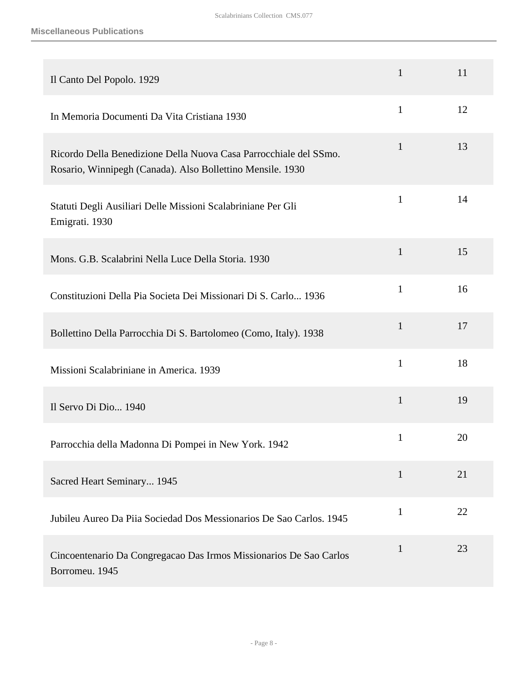| Il Canto Del Popolo. 1929                                                                                                       | $\mathbf{1}$ | 11 |
|---------------------------------------------------------------------------------------------------------------------------------|--------------|----|
| In Memoria Documenti Da Vita Cristiana 1930                                                                                     | $\mathbf{1}$ | 12 |
| Ricordo Della Benedizione Della Nuova Casa Parrocchiale del SSmo.<br>Rosario, Winnipegh (Canada). Also Bollettino Mensile. 1930 | $\mathbf{1}$ | 13 |
| Statuti Degli Ausiliari Delle Missioni Scalabriniane Per Gli<br>Emigrati. 1930                                                  | $\mathbf{1}$ | 14 |
| Mons. G.B. Scalabrini Nella Luce Della Storia. 1930                                                                             | $\mathbf{1}$ | 15 |
| Constituzioni Della Pia Societa Dei Missionari Di S. Carlo 1936                                                                 | $\mathbf{1}$ | 16 |
| Bollettino Della Parrocchia Di S. Bartolomeo (Como, Italy). 1938                                                                | $\mathbf{1}$ | 17 |
| Missioni Scalabriniane in America. 1939                                                                                         | $\mathbf{1}$ | 18 |
| Il Servo Di Dio 1940                                                                                                            | $\mathbf{1}$ | 19 |
| Parrocchia della Madonna Di Pompei in New York. 1942                                                                            | $\mathbf{1}$ | 20 |
| Sacred Heart Seminary 1945                                                                                                      | $\mathbf{1}$ | 21 |
| Jubileu Aureo Da Piia Sociedad Dos Messionarios De Sao Carlos. 1945                                                             | $\mathbf{1}$ | 22 |
| Cincoentenario Da Congregação Das Irmos Missionarios De São Carlos<br>Borromeu. 1945                                            | $\mathbf{1}$ | 23 |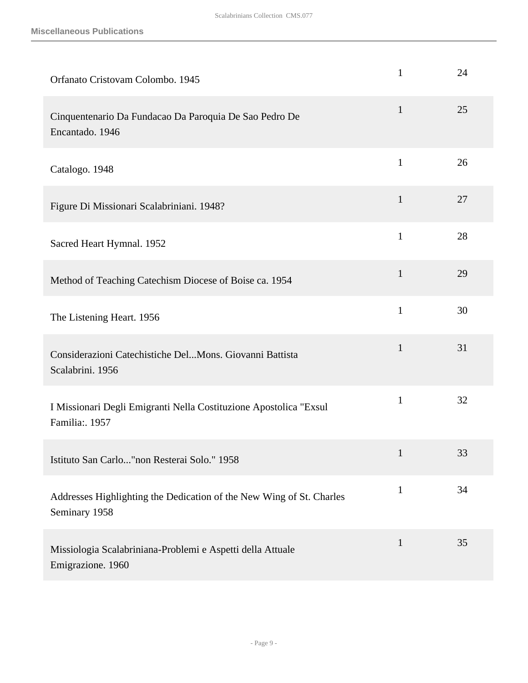| Orfanato Cristovam Colombo. 1945                                                      | $\mathbf{1}$ | 24 |
|---------------------------------------------------------------------------------------|--------------|----|
| Cinquentenario Da Fundacao Da Paroquia De Sao Pedro De<br>Encantado. 1946             | $\mathbf{1}$ | 25 |
| Catalogo. 1948                                                                        | $\mathbf{1}$ | 26 |
| Figure Di Missionari Scalabriniani. 1948?                                             | $\mathbf{1}$ | 27 |
| Sacred Heart Hymnal. 1952                                                             | $\mathbf{1}$ | 28 |
| Method of Teaching Catechism Diocese of Boise ca. 1954                                | $\mathbf{1}$ | 29 |
| The Listening Heart. 1956                                                             | $\mathbf{1}$ | 30 |
| Considerazioni Catechistiche DelMons. Giovanni Battista<br>Scalabrini. 1956           | $\mathbf{1}$ | 31 |
| I Missionari Degli Emigranti Nella Costituzione Apostolica "Exsul<br>Familia: 1957    | $\mathbf{1}$ | 32 |
| Istituto San Carlo"non Resterai Solo." 1958                                           |              | 33 |
| Addresses Highlighting the Dedication of the New Wing of St. Charles<br>Seminary 1958 | $\mathbf{1}$ | 34 |
| Missiologia Scalabriniana-Problemi e Aspetti della Attuale<br>Emigrazione. 1960       | $\mathbf{1}$ | 35 |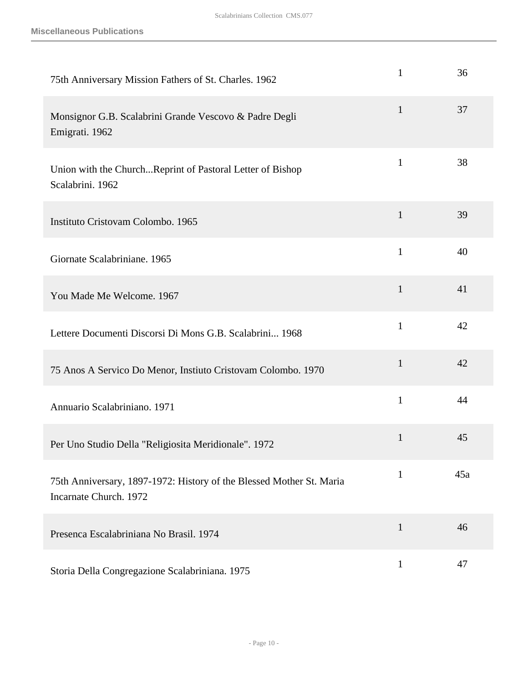**Miscellaneous Publications**

| 75th Anniversary Mission Fathers of St. Charles. 1962                                          | $\mathbf{1}$ | 36  |
|------------------------------------------------------------------------------------------------|--------------|-----|
| Monsignor G.B. Scalabrini Grande Vescovo & Padre Degli<br>Emigrati. 1962                       | $\mathbf{1}$ | 37  |
| Union with the ChurchReprint of Pastoral Letter of Bishop<br>Scalabrini. 1962                  | $\mathbf{1}$ | 38  |
| Instituto Cristovam Colombo. 1965                                                              | $\mathbf{1}$ | 39  |
| Giornate Scalabriniane. 1965                                                                   | $\mathbf{1}$ | 40  |
| You Made Me Welcome. 1967                                                                      | $\mathbf{1}$ | 41  |
| Lettere Documenti Discorsi Di Mons G.B. Scalabrini 1968                                        | $\mathbf{1}$ | 42  |
| 75 Anos A Servico Do Menor, Instiuto Cristovam Colombo. 1970                                   | $\mathbf{1}$ | 42  |
| Annuario Scalabriniano. 1971                                                                   | $\mathbf{1}$ | 44  |
| Per Uno Studio Della "Religiosita Meridionale". 1972                                           | $\mathbf{1}$ | 45  |
| 75th Anniversary, 1897-1972: History of the Blessed Mother St. Maria<br>Incarnate Church. 1972 | $\mathbf{1}$ | 45a |
| Presenca Escalabriniana No Brasil. 1974                                                        | $\mathbf{1}$ | 46  |
| Storia Della Congregazione Scalabriniana. 1975                                                 | $\mathbf{1}$ | 47  |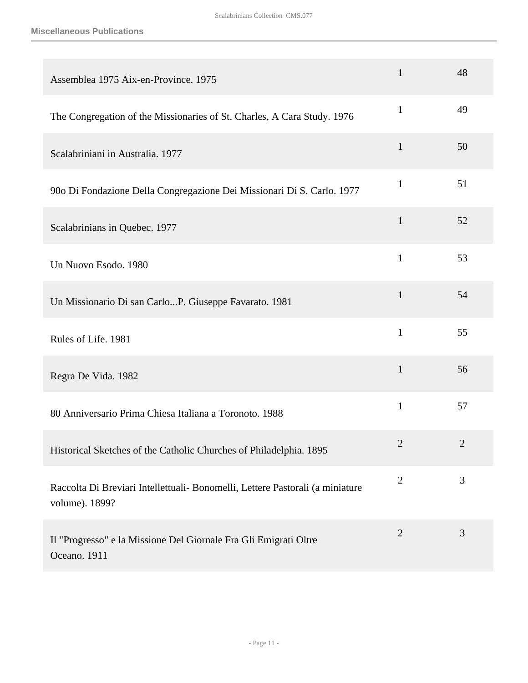| Assemblea 1975 Aix-en-Province. 1975                                                            | $\mathbf{1}$   | 48             |
|-------------------------------------------------------------------------------------------------|----------------|----------------|
| The Congregation of the Missionaries of St. Charles, A Cara Study. 1976                         | $\mathbf{1}$   | 49             |
| Scalabriniani in Australia. 1977                                                                | $\mathbf{1}$   | 50             |
| 900 Di Fondazione Della Congregazione Dei Missionari Di S. Carlo. 1977                          | $\mathbf{1}$   | 51             |
| Scalabrinians in Quebec. 1977                                                                   | $\mathbf{1}$   | 52             |
| Un Nuovo Esodo. 1980                                                                            | $\mathbf{1}$   | 53             |
| Un Missionario Di san CarloP. Giuseppe Favarato. 1981                                           | $\mathbf{1}$   | 54             |
| Rules of Life. 1981                                                                             | $\mathbf{1}$   | 55             |
| Regra De Vida. 1982                                                                             | $\mathbf{1}$   | 56             |
| 80 Anniversario Prima Chiesa Italiana a Toronoto. 1988                                          | $\mathbf{1}$   | 57             |
| Historical Sketches of the Catholic Churches of Philadelphia. 1895                              | $\overline{2}$ | $\overline{2}$ |
| Raccolta Di Breviari Intellettuali- Bonomelli, Lettere Pastorali (a miniature<br>volume). 1899? | $\overline{2}$ | 3              |
| Il "Progresso" e la Missione Del Giornale Fra Gli Emigrati Oltre<br>Oceano. 1911                | $\overline{2}$ | 3              |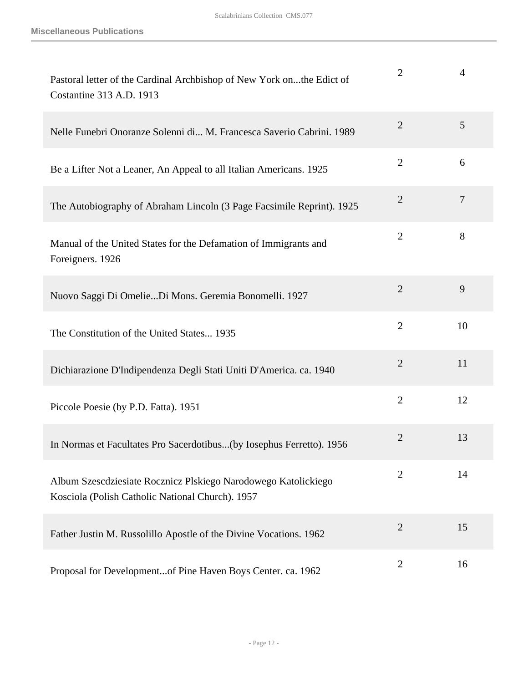| Pastoral letter of the Cardinal Archbishop of New York onthe Edict of<br>Costantine 313 A.D. 1913                  | $\overline{2}$ | $\overline{4}$ |
|--------------------------------------------------------------------------------------------------------------------|----------------|----------------|
| Nelle Funebri Onoranze Solenni di M. Francesca Saverio Cabrini. 1989                                               | $\overline{2}$ | 5              |
| Be a Lifter Not a Leaner, An Appeal to all Italian Americans. 1925                                                 | $\overline{2}$ | 6              |
| The Autobiography of Abraham Lincoln (3 Page Facsimile Reprint). 1925                                              | $\overline{2}$ | $\overline{7}$ |
| Manual of the United States for the Defamation of Immigrants and<br>Foreigners. 1926                               | $\overline{2}$ | 8              |
| Nuovo Saggi Di OmelieDi Mons. Geremia Bonomelli. 1927                                                              | $\overline{2}$ | 9              |
| The Constitution of the United States 1935                                                                         | $\overline{2}$ | 10             |
| Dichiarazione D'Indipendenza Degli Stati Uniti D'America. ca. 1940                                                 | $\overline{2}$ | 11             |
| Piccole Poesie (by P.D. Fatta). 1951                                                                               | $\overline{2}$ | 12             |
| In Normas et Facultates Pro Sacerdotibus(by Iosephus Ferretto). 1956                                               | $\overline{2}$ | 13             |
| Album Szescdziesiate Rocznicz Plskiego Narodowego Katolickiego<br>Kosciola (Polish Catholic National Church). 1957 | $\overline{2}$ | 14             |
| Father Justin M. Russolillo Apostle of the Divine Vocations. 1962                                                  | $\overline{2}$ | 15             |
| Proposal for Developmentof Pine Haven Boys Center. ca. 1962                                                        | $\overline{2}$ | 16             |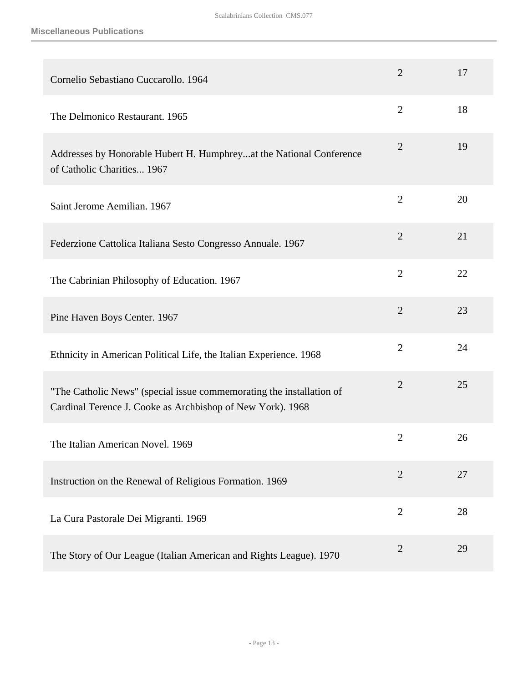| Cornelio Sebastiano Cuccarollo. 1964                                                                                               | $\overline{2}$ | 17 |
|------------------------------------------------------------------------------------------------------------------------------------|----------------|----|
| The Delmonico Restaurant. 1965                                                                                                     | $\overline{2}$ | 18 |
| Addresses by Honorable Hubert H. Humphreyat the National Conference<br>of Catholic Charities 1967                                  | $\overline{2}$ | 19 |
| Saint Jerome Aemilian. 1967                                                                                                        | $\overline{2}$ | 20 |
| Federzione Cattolica Italiana Sesto Congresso Annuale. 1967                                                                        | $\overline{2}$ | 21 |
| The Cabrinian Philosophy of Education. 1967                                                                                        | $\overline{2}$ | 22 |
| Pine Haven Boys Center. 1967                                                                                                       | $\overline{2}$ | 23 |
| Ethnicity in American Political Life, the Italian Experience. 1968                                                                 | $\overline{2}$ | 24 |
| "The Catholic News" (special issue commemorating the installation of<br>Cardinal Terence J. Cooke as Archbishop of New York). 1968 | $\overline{2}$ | 25 |
| The Italian American Novel. 1969                                                                                                   | $\overline{2}$ | 26 |
| Instruction on the Renewal of Religious Formation. 1969                                                                            | $\overline{2}$ | 27 |
| La Cura Pastorale Dei Migranti. 1969                                                                                               | $\overline{2}$ | 28 |
| The Story of Our League (Italian American and Rights League). 1970                                                                 | $\overline{2}$ | 29 |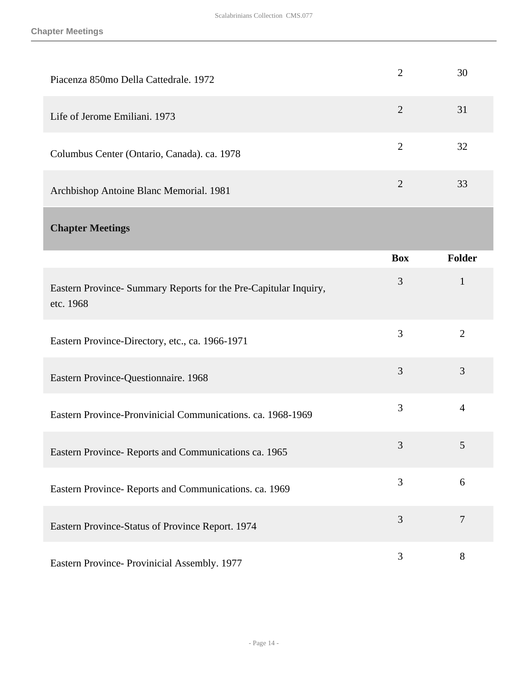<span id="page-13-0"></span>

| Piacenza 850mo Della Cattedrale. 1972                                         | $\overline{2}$ | 30             |
|-------------------------------------------------------------------------------|----------------|----------------|
| Life of Jerome Emiliani. 1973                                                 | $\overline{2}$ | 31             |
| Columbus Center (Ontario, Canada). ca. 1978                                   | $\overline{2}$ | 32             |
| Archbishop Antoine Blanc Memorial. 1981                                       | $\overline{2}$ | 33             |
| <b>Chapter Meetings</b>                                                       |                |                |
|                                                                               | <b>Box</b>     | <b>Folder</b>  |
| Eastern Province- Summary Reports for the Pre-Capitular Inquiry,<br>etc. 1968 | 3              | $\mathbf{1}$   |
| Eastern Province-Directory, etc., ca. 1966-1971                               | 3              | $\overline{2}$ |
| Eastern Province-Questionnaire. 1968                                          | 3              | 3              |
| Eastern Province-Pronvinicial Communications. ca. 1968-1969                   | 3              | $\overline{4}$ |
| Eastern Province-Reports and Communications ca. 1965                          | 3              | 5              |
| Eastern Province- Reports and Communications. ca. 1969                        | 3              | 6              |
| Eastern Province-Status of Province Report. 1974                              | 3              | $\overline{7}$ |
| Eastern Province- Provinicial Assembly. 1977                                  | 3              | $8\,$          |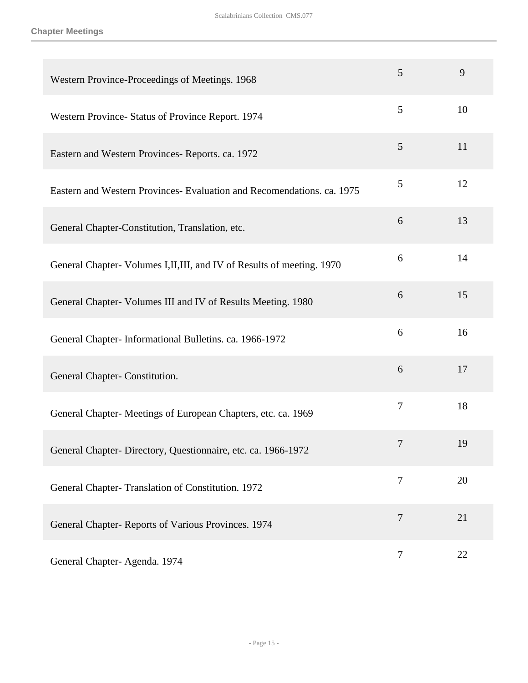| Western Province-Proceedings of Meetings. 1968                          | 5              | 9  |
|-------------------------------------------------------------------------|----------------|----|
| Western Province- Status of Province Report. 1974                       | 5              | 10 |
| Eastern and Western Provinces-Reports. ca. 1972                         | 5              | 11 |
| Eastern and Western Provinces - Evaluation and Recomendations. ca. 1975 | 5              | 12 |
| General Chapter-Constitution, Translation, etc.                         | 6              | 13 |
| General Chapter- Volumes I, II, III, and IV of Results of meeting. 1970 | 6              | 14 |
| General Chapter- Volumes III and IV of Results Meeting. 1980            | 6              | 15 |
| General Chapter-Informational Bulletins. ca. 1966-1972                  | 6              | 16 |
| General Chapter- Constitution.                                          | 6              | 17 |
| General Chapter-Meetings of European Chapters, etc. ca. 1969            | $\overline{7}$ | 18 |
| General Chapter-Directory, Questionnaire, etc. ca. 1966-1972            | 7              | 19 |
| General Chapter- Translation of Constitution. 1972                      | 7              | 20 |
| General Chapter-Reports of Various Provinces. 1974                      | $\overline{7}$ | 21 |
| General Chapter- Agenda. 1974                                           | $\tau$         | 22 |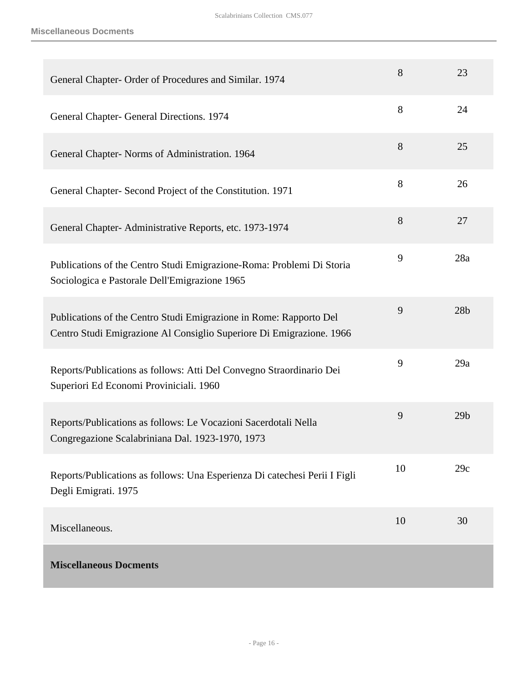**Miscellaneous Docments**

<span id="page-15-0"></span>

| General Chapter- Order of Procedures and Similar. 1974                                                                                     | 8  | 23              |
|--------------------------------------------------------------------------------------------------------------------------------------------|----|-----------------|
| General Chapter- General Directions. 1974                                                                                                  | 8  | 24              |
| General Chapter- Norms of Administration. 1964                                                                                             | 8  | 25              |
| General Chapter- Second Project of the Constitution. 1971                                                                                  | 8  | 26              |
| General Chapter-Administrative Reports, etc. 1973-1974                                                                                     | 8  | 27              |
| Publications of the Centro Studi Emigrazione-Roma: Problemi Di Storia<br>Sociologica e Pastorale Dell'Emigrazione 1965                     | 9  | 28a             |
| Publications of the Centro Studi Emigrazione in Rome: Rapporto Del<br>Centro Studi Emigrazione Al Consiglio Superiore Di Emigrazione. 1966 | 9  | 28 <sub>b</sub> |
| Reports/Publications as follows: Atti Del Convegno Straordinario Dei<br>Superiori Ed Economi Proviniciali. 1960                            | 9  | 29a             |
| Reports/Publications as follows: Le Vocazioni Sacerdotali Nella<br>Congregazione Scalabriniana Dal. 1923-1970, 1973                        | 9  | 29 <sub>b</sub> |
| Reports/Publications as follows: Una Esperienza Di catechesi Perii I Figli<br>Degli Emigrati. 1975                                         | 10 | 29c             |
| Miscellaneous.                                                                                                                             | 10 | 30              |
| <b>Miscellaneous Docments</b>                                                                                                              |    |                 |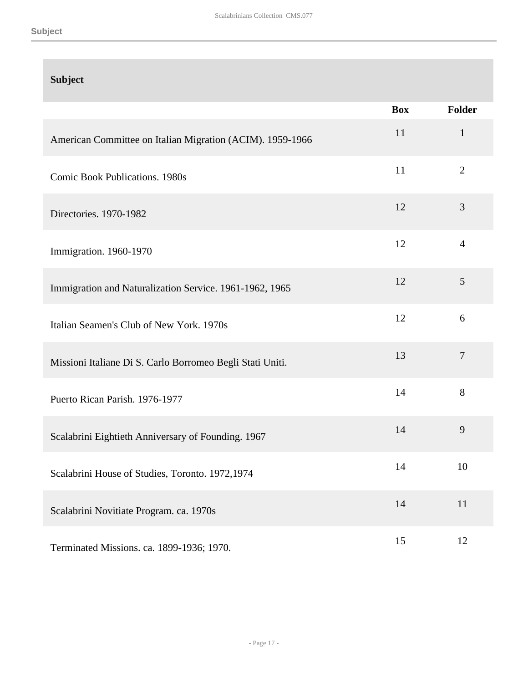### **Subject**

|                                                           | <b>Box</b> | <b>Folder</b>  |
|-----------------------------------------------------------|------------|----------------|
| American Committee on Italian Migration (ACIM). 1959-1966 | 11         | $\mathbf{1}$   |
| <b>Comic Book Publications. 1980s</b>                     | 11         | $\overline{2}$ |
| Directories. 1970-1982                                    | 12         | 3              |
| Immigration. 1960-1970                                    | 12         | $\overline{4}$ |
| Immigration and Naturalization Service. 1961-1962, 1965   | 12         | 5              |
| Italian Seamen's Club of New York. 1970s                  | 12         | 6              |
| Missioni Italiane Di S. Carlo Borromeo Begli Stati Uniti. | 13         | $\overline{7}$ |
| Puerto Rican Parish. 1976-1977                            | 14         | 8              |
| Scalabrini Eightieth Anniversary of Founding. 1967        | 14         | 9              |
| Scalabrini House of Studies, Toronto. 1972,1974           | 14         | 10             |
| Scalabrini Novitiate Program. ca. 1970s                   | 14         | 11             |
| Terminated Missions. ca. 1899-1936; 1970.                 | 15         | 12             |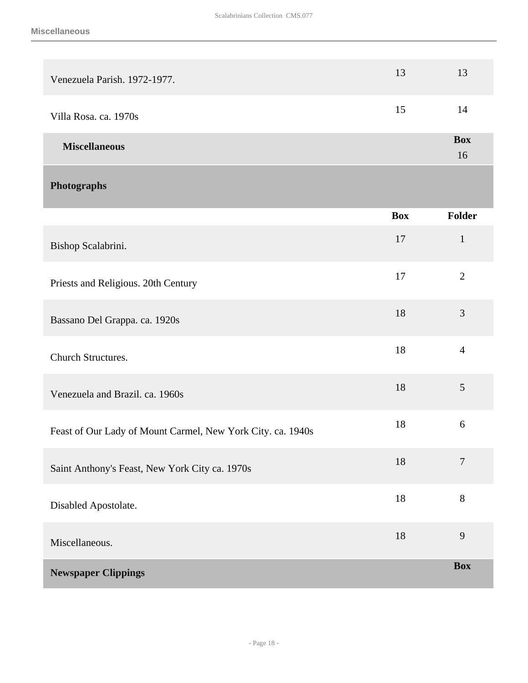<span id="page-17-1"></span><span id="page-17-0"></span>

| Venezuela Parish. 1972-1977.                                | 13         | 13               |
|-------------------------------------------------------------|------------|------------------|
| Villa Rosa. ca. 1970s                                       | 15         | 14               |
| <b>Miscellaneous</b>                                        |            | <b>Box</b><br>16 |
| Photographs                                                 |            |                  |
|                                                             | <b>Box</b> | Folder           |
| Bishop Scalabrini.                                          | 17         | $\mathbf{1}$     |
| Priests and Religious. 20th Century                         | 17         | $\mathbf{2}$     |
| Bassano Del Grappa. ca. 1920s                               | 18         | 3                |
| Church Structures.                                          | 18         | $\overline{4}$   |
| Venezuela and Brazil. ca. 1960s                             | 18         | 5                |
| Feast of Our Lady of Mount Carmel, New York City. ca. 1940s | 18         | 6                |
| Saint Anthony's Feast, New York City ca. 1970s              | 18         | $\tau$           |
| Disabled Apostolate.                                        | $18\,$     | $8\,$            |
| Miscellaneous.                                              | 18         | 9                |
| <b>Newspaper Clippings</b>                                  |            | <b>Box</b>       |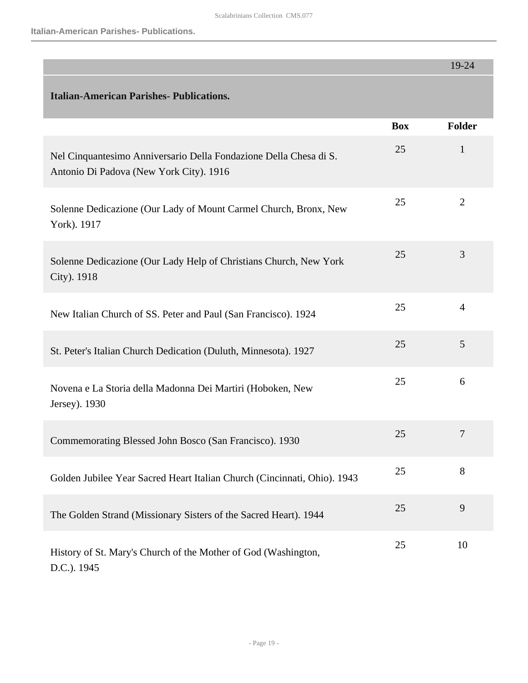**Italian-American Parishes- Publications.**

<span id="page-18-0"></span>

|                                                                                                              |            | 19-24          |
|--------------------------------------------------------------------------------------------------------------|------------|----------------|
| <b>Italian-American Parishes- Publications.</b>                                                              |            |                |
|                                                                                                              | <b>Box</b> | Folder         |
| Nel Cinquantesimo Anniversario Della Fondazione Della Chesa di S.<br>Antonio Di Padova (New York City). 1916 | 25         | $\mathbf{1}$   |
| Solenne Dedicazione (Our Lady of Mount Carmel Church, Bronx, New<br>York). 1917                              | 25         | $\overline{2}$ |
| Solenne Dedicazione (Our Lady Help of Christians Church, New York<br>City). 1918                             | 25         | 3              |
| New Italian Church of SS. Peter and Paul (San Francisco). 1924                                               | 25         | $\overline{4}$ |
| St. Peter's Italian Church Dedication (Duluth, Minnesota). 1927                                              | 25         | 5              |
| Novena e La Storia della Madonna Dei Martiri (Hoboken, New<br>Jersey). 1930                                  | 25         | 6              |
| Commemorating Blessed John Bosco (San Francisco). 1930                                                       | 25         | 7              |
| Golden Jubilee Year Sacred Heart Italian Church (Cincinnati, Ohio). 1943                                     | 25         | 8              |
| The Golden Strand (Missionary Sisters of the Sacred Heart). 1944                                             | 25         | 9              |
| History of St. Mary's Church of the Mother of God (Washington,<br>D.C.). 1945                                | 25         | 10             |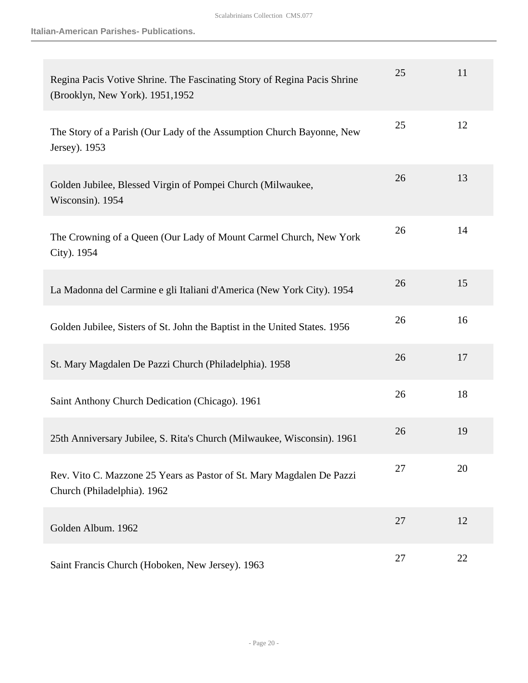**Italian-American Parishes- Publications.**

| Regina Pacis Votive Shrine. The Fascinating Story of Regina Pacis Shrine<br>(Brooklyn, New York). 1951, 1952 | 25 | 11 |
|--------------------------------------------------------------------------------------------------------------|----|----|
| The Story of a Parish (Our Lady of the Assumption Church Bayonne, New<br>Jersey). 1953                       | 25 | 12 |
| Golden Jubilee, Blessed Virgin of Pompei Church (Milwaukee,<br>Wisconsin). 1954                              | 26 | 13 |
| The Crowning of a Queen (Our Lady of Mount Carmel Church, New York<br>City). 1954                            | 26 | 14 |
| La Madonna del Carmine e gli Italiani d'America (New York City). 1954                                        | 26 | 15 |
| Golden Jubilee, Sisters of St. John the Baptist in the United States. 1956                                   | 26 | 16 |
| St. Mary Magdalen De Pazzi Church (Philadelphia). 1958                                                       | 26 | 17 |
| Saint Anthony Church Dedication (Chicago). 1961                                                              | 26 | 18 |
| 25th Anniversary Jubilee, S. Rita's Church (Milwaukee, Wisconsin). 1961                                      | 26 | 19 |
| Rev. Vito C. Mazzone 25 Years as Pastor of St. Mary Magdalen De Pazzi<br>Church (Philadelphia). 1962         | 27 | 20 |
| Golden Album. 1962                                                                                           | 27 | 12 |
| Saint Francis Church (Hoboken, New Jersey). 1963                                                             | 27 | 22 |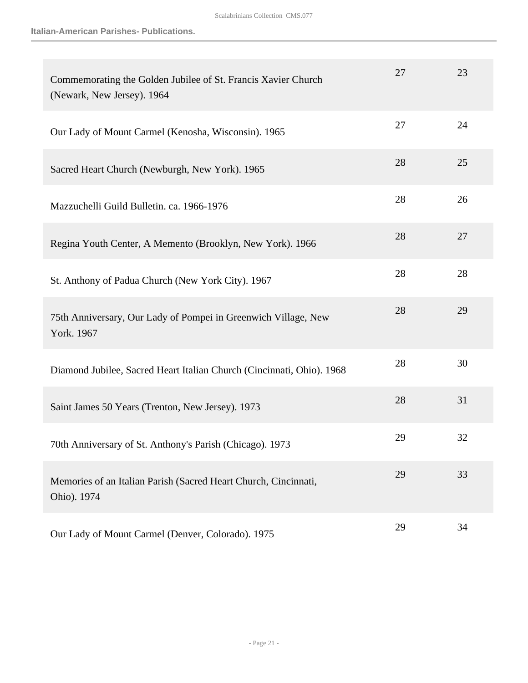| Commemorating the Golden Jubilee of St. Francis Xavier Church<br>(Newark, New Jersey). 1964 | 27 | 23 |
|---------------------------------------------------------------------------------------------|----|----|
| Our Lady of Mount Carmel (Kenosha, Wisconsin). 1965                                         | 27 | 24 |
| Sacred Heart Church (Newburgh, New York). 1965                                              | 28 | 25 |
| Mazzuchelli Guild Bulletin. ca. 1966-1976                                                   | 28 | 26 |
| Regina Youth Center, A Memento (Brooklyn, New York). 1966                                   | 28 | 27 |
| St. Anthony of Padua Church (New York City). 1967                                           | 28 | 28 |
| 75th Anniversary, Our Lady of Pompei in Greenwich Village, New<br>York. 1967                | 28 | 29 |
| Diamond Jubilee, Sacred Heart Italian Church (Cincinnati, Ohio). 1968                       | 28 | 30 |
| Saint James 50 Years (Trenton, New Jersey). 1973                                            | 28 | 31 |
| 70th Anniversary of St. Anthony's Parish (Chicago). 1973                                    | 29 | 32 |
| Memories of an Italian Parish (Sacred Heart Church, Cincinnati,<br>Ohio). 1974              | 29 | 33 |
| Our Lady of Mount Carmel (Denver, Colorado). 1975                                           | 29 | 34 |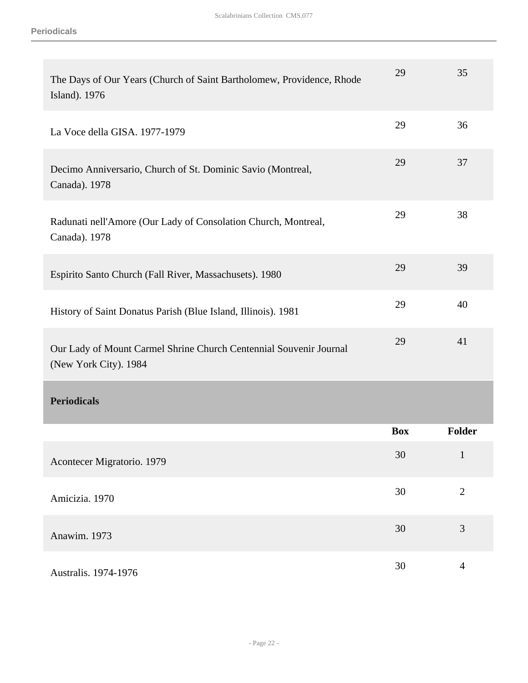<span id="page-21-0"></span>

| The Days of Our Years (Church of Saint Bartholomew, Providence, Rhode<br>Island). 1976      | 29         | 35             |
|---------------------------------------------------------------------------------------------|------------|----------------|
| La Voce della GISA. 1977-1979                                                               | 29         | 36             |
| Decimo Anniversario, Church of St. Dominic Savio (Montreal,<br>Canada). 1978                | 29         | 37             |
| Radunati nell'Amore (Our Lady of Consolation Church, Montreal,<br>Canada). 1978             | 29         | 38             |
| Espirito Santo Church (Fall River, Massachusets). 1980                                      | 29         | 39             |
| History of Saint Donatus Parish (Blue Island, Illinois). 1981                               | 29         | 40             |
| Our Lady of Mount Carmel Shrine Church Centennial Souvenir Journal<br>(New York City). 1984 | 29         | 41             |
| <b>Periodicals</b>                                                                          |            |                |
|                                                                                             | <b>Box</b> | <b>Folder</b>  |
| Acontecer Migratorio. 1979                                                                  | 30         | $\mathbf{1}$   |
| Amicizia. 1970                                                                              | 30         | $\mathbf{2}$   |
| Anawim. 1973                                                                                | 30         | 3              |
| Australis. 1974-1976                                                                        | 30         | $\overline{4}$ |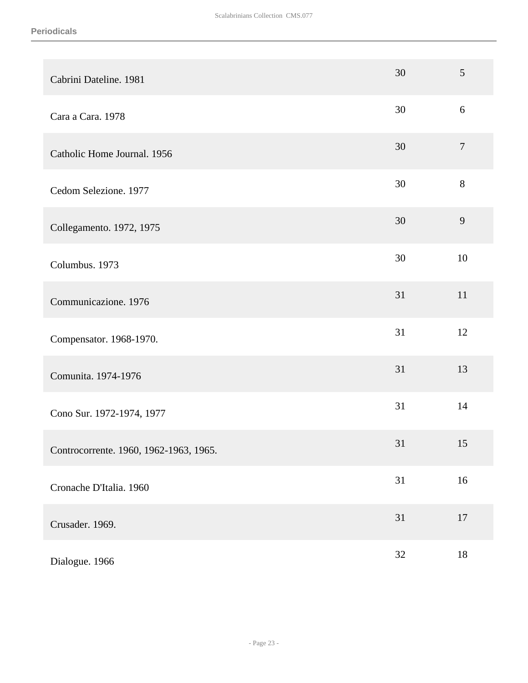| Cabrini Dateline. 1981                 | 30 | $\mathfrak{S}$ |
|----------------------------------------|----|----------------|
| Cara a Cara. 1978                      | 30 | 6              |
| Catholic Home Journal. 1956            | 30 | $\tau$         |
| Cedom Selezione. 1977                  | 30 | $8\,$          |
| Collegamento. 1972, 1975               | 30 | 9              |
| Columbus. 1973                         | 30 | 10             |
| Communicazione. 1976                   | 31 | 11             |
| Compensator. 1968-1970.                | 31 | 12             |
| Comunita. 1974-1976                    | 31 | 13             |
| Cono Sur. 1972-1974, 1977              | 31 | 14             |
| Controcorrente. 1960, 1962-1963, 1965. | 31 | 15             |
| Cronache D'Italia. 1960                | 31 | $16\,$         |
| Crusader. 1969.                        | 31 | $17\,$         |
| Dialogue. 1966                         | 32 | $18\,$         |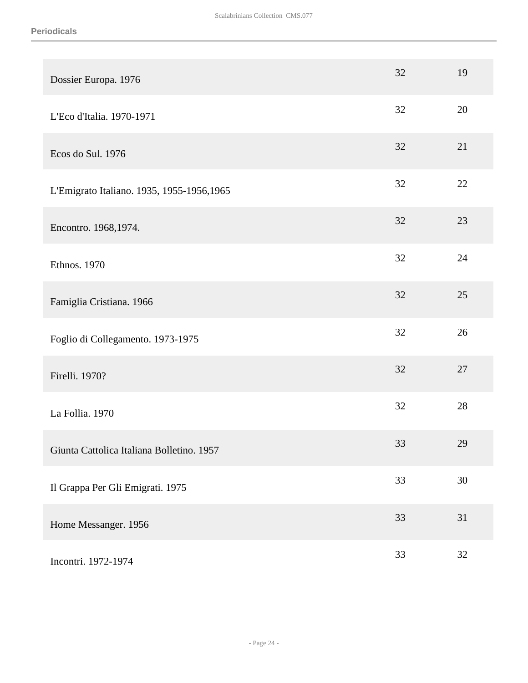| Dossier Europa. 1976                       | 32 | 19 |
|--------------------------------------------|----|----|
| L'Eco d'Italia. 1970-1971                  | 32 | 20 |
| Ecos do Sul. 1976                          | 32 | 21 |
| L'Emigrato Italiano. 1935, 1955-1956, 1965 | 32 | 22 |
| Encontro. 1968,1974.                       | 32 | 23 |
| Ethnos. 1970                               | 32 | 24 |
| Famiglia Cristiana. 1966                   | 32 | 25 |
| Foglio di Collegamento. 1973-1975          | 32 | 26 |
| Firelli. 1970?                             | 32 | 27 |
| La Follia. 1970                            | 32 | 28 |
| Giunta Cattolica Italiana Bolletino. 1957  | 33 | 29 |
| Il Grappa Per Gli Emigrati. 1975           | 33 | 30 |
| Home Messanger. 1956                       | 33 | 31 |
| Incontri. 1972-1974                        | 33 | 32 |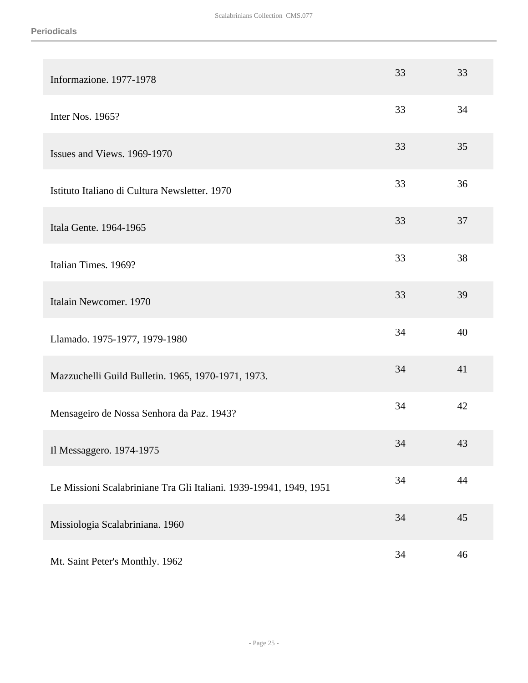| Informazione. 1977-1978                                            | 33 | 33 |
|--------------------------------------------------------------------|----|----|
| Inter Nos. 1965?                                                   | 33 | 34 |
| Issues and Views. 1969-1970                                        | 33 | 35 |
| Istituto Italiano di Cultura Newsletter. 1970                      | 33 | 36 |
| Itala Gente. 1964-1965                                             | 33 | 37 |
| Italian Times. 1969?                                               | 33 | 38 |
| Italain Newcomer. 1970                                             | 33 | 39 |
| Llamado. 1975-1977, 1979-1980                                      | 34 | 40 |
| Mazzuchelli Guild Bulletin. 1965, 1970-1971, 1973.                 | 34 | 41 |
| Mensageiro de Nossa Senhora da Paz. 1943?                          | 34 | 42 |
| Il Messaggero. 1974-1975                                           | 34 | 43 |
| Le Missioni Scalabriniane Tra Gli Italiani. 1939-19941, 1949, 1951 | 34 | 44 |
| Missiologia Scalabriniana. 1960                                    | 34 | 45 |
| Mt. Saint Peter's Monthly. 1962                                    | 34 | 46 |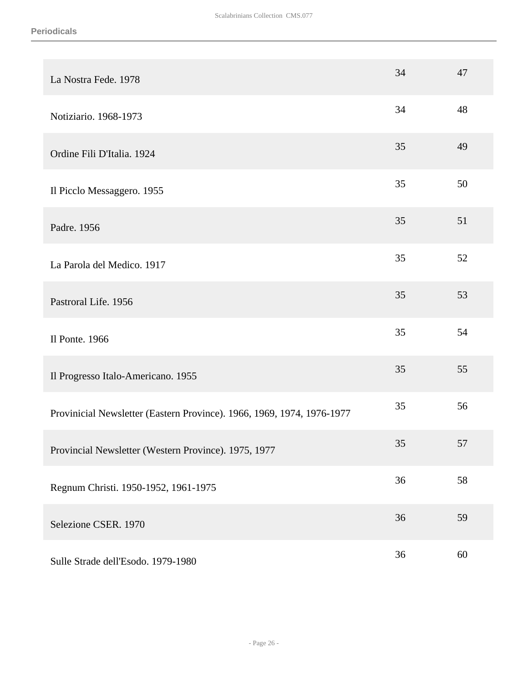| La Nostra Fede. 1978                                                   | 34 | 47 |
|------------------------------------------------------------------------|----|----|
| Notiziario. 1968-1973                                                  | 34 | 48 |
| Ordine Fili D'Italia. 1924                                             | 35 | 49 |
| Il Picclo Messaggero. 1955                                             | 35 | 50 |
| Padre. 1956                                                            | 35 | 51 |
| La Parola del Medico. 1917                                             | 35 | 52 |
| Pastroral Life. 1956                                                   | 35 | 53 |
| Il Ponte. 1966                                                         | 35 | 54 |
| Il Progresso Italo-Americano. 1955                                     | 35 | 55 |
| Provinicial Newsletter (Eastern Province). 1966, 1969, 1974, 1976-1977 | 35 | 56 |
| Provincial Newsletter (Western Province). 1975, 1977                   | 35 | 57 |
| Regnum Christi. 1950-1952, 1961-1975                                   | 36 | 58 |
| Selezione CSER. 1970                                                   | 36 | 59 |
| Sulle Strade dell'Esodo. 1979-1980                                     | 36 | 60 |